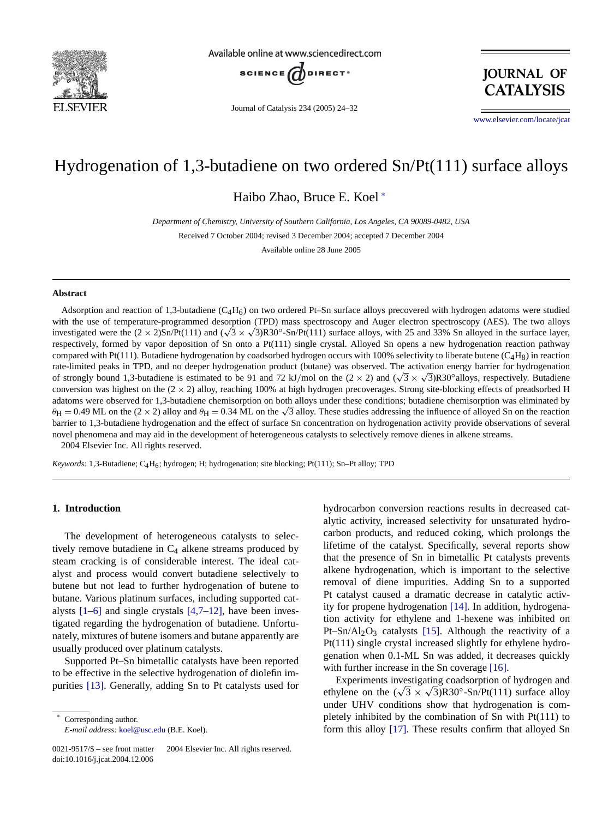

Available online at www.sciencedirect.com



Journal of Catalysis 234 (2005) 24–32

**JOURNAL OF CATALYSIS** 

www.elsevier.com/locate/jcat

# Hydrogenation of 1,3-butadiene on two ordered Sn/Pt(111) surface alloys

Haibo Zhao, Bruce E. Koel <sup>∗</sup>

*Department of Chemistry, University of Southern California, Los Angeles, CA 90089-0482, USA* Received 7 October 2004; revised 3 December 2004; accepted 7 December 2004

Available online 28 June 2005

#### **Abstract**

Adsorption and reaction of 1,3-butadiene  $(C_4H_6)$  on two ordered Pt–Sn surface alloys precovered with hydrogen adatoms were studied with the use of temperature-programmed desorption (TPD) mass spectroscopy and Auger electron spectroscopy (AES). The two alloys investigated were the  $(2 \times 2)$ Sn/Pt(111) and  $(\sqrt{3} \times \sqrt{3})$ R30<sup>°</sup>-Sn/Pt(111) surface alloys, with 25 and 33% Sn alloyed in the surface layer, respectively, formed by vapor deposition of Sn onto a Pt(111) single crystal. Alloyed Sn opens a new hydrogenation reaction pathway compared with Pt(111). Butadiene hydrogenation by coadsorbed hydrogen occurs with 100% selectivity to liberate butene ( $C_4H_8$ ) in reaction rate-limited peaks in TPD, and no deeper hydrogenation product (butane) was observed. The activation energy barrier for hydrogenation of strongly bound 1,3-butadiene is estimated to be 91 and 72 kJ/mol on the  $(2 \times 2)$  and  $(\sqrt{3} \times \sqrt{3})$ R30°alloys, respectively. Butadiene conversion was highest on the  $(2 \times 2)$  alloy, reaching 100% at high hydrogen precoverages. Strong site-blocking effects of preadsorbed H adatoms were observed for 1,3-butadiene chemisorption on both alloys under these conditions; butadiene chemisorption was eliminated by  $\theta$ H = 0.49 ML on the (2 × 2) alloy and  $\theta$ H = 0.34 ML on the  $\sqrt{3}$  alloy. These studies addressing the influence of alloyed Sn on the reaction barrier to 1,3-butadiene hydrogenation and the effect of surface Sn concentration on hydrogenation activity provide observations of several novel phenomena and may aid in the development of heterogeneous catalysts to selectively remove dienes in alkene streams. 2004 Elsevier Inc. All rights reserved.

*Keywords:* 1,3-Butadiene; C4H6; hydrogen; H; hydrogenation; site blocking; Pt(111); Sn–Pt alloy; TPD

# **1. Introduction**

The development of heterogeneous catalysts to selectively remove butadiene in  $C_4$  alkene streams produced by steam cracking is of considerable interest. The ideal catalyst and process would convert butadiene selectively to buten[e](#page-7-0) [but](#page-7-0) [n](#page-7-0)ot lead to further [hydrogena](#page-8-0)tion of butene to butane. Various platinum surfaces, including supported catalysts  $[1-6]$  and single crystals  $[4,7-12]$ , have been investigated regarding the hydrogenation of butadiene. Unfortunately, mixtures of butene isomers and butane apparently are usually produced over platinum catalysts.

Sup[ported](#page-8-0) Pt–Sn bimetallic catalysts have been reported to be effective in the selective hydrogenation of diolefin impurities [13]. Generally, adding Sn to Pt catalysts used for

Corresponding author. *E-mail address:* koel@usc.edu (B.E. Koel).

0021-9517/\$ – see front matter © 2004 Elsevier Inc. All rights reserved. doi:10.1016/j.jcat.2004.12.006

hydrocarbon conversion reactions results in decreased catalytic activity, increased selectivity for unsaturated hydrocarbon products, and reduced coking, which prolongs the lifetime of the catalyst. Specifically, several reports show that the presence of Sn in bimetallic Pt catalysts prevents alkene hydrogenation, which is important to the selective removal of diene impurities. [Add](#page-8-0)ing Sn to a supported Pt catalyst caused a dramatic decrease in catalytic activity for propene hydroge[natio](#page-8-0)n [14]. In addition, hydrogenation activity for ethylene and 1-hexene was inhibited on Pt–Sn/Al<sub>2</sub>O<sub>3</sub> catalysts [15]. Although the reactivity of a Pt(111) single crystal increased slightly [for](#page-8-0) [e](#page-8-0)thylene hydrogenation when 0.1-ML Sn was added, it decreases quickly with further increase in the Sn coverage [16].

Experiments investigating coadsorption of hydrogen and ethylene on the  $(\sqrt{3} \times \sqrt{3})$ R30°-Sn/Pt(111) surface alloy under UHV co[nditi](#page-8-0)ons show that hydrogenation is completely inhibited by the combination of Sn with Pt(111) to form this alloy [17]. These results confirm that alloyed Sn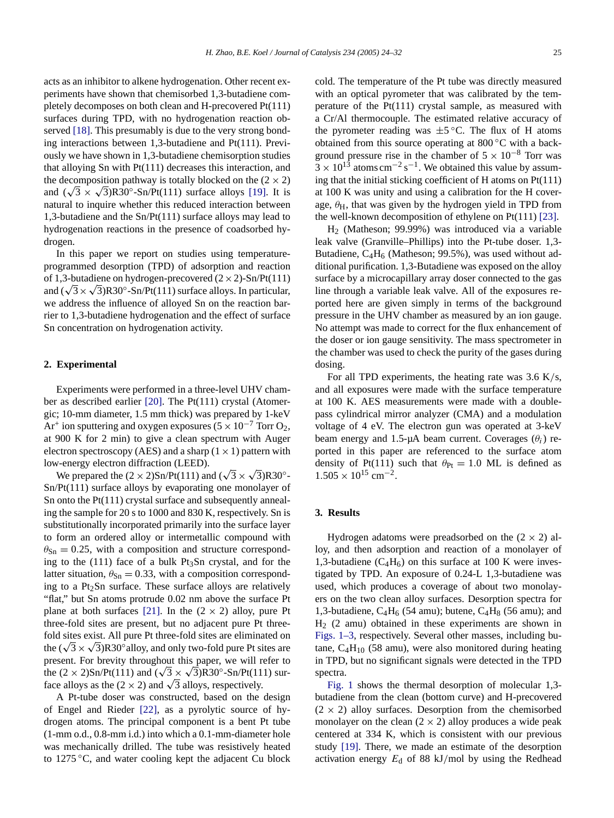acts as an inhibitor to alkene hydrogenation. Other recent experiments have shown that chemisorbed 1,3-butadiene completely [deco](#page-8-0)mposes on both clean and H-precovered Pt(111) surfaces during TPD, with no hydrogenation reaction observed [18]. This presumably is due to the very strong bonding interactions between 1,3-butadiene and Pt(111). Previously we have shown in 1,3-butadiene chemisorption studies that alloying Sn with Pt(111) decreases this inter[action](#page-8-0), and the decomposition pathway is totally blocked on the  $(2 \times 2)$ and  $(\sqrt{3} \times \sqrt{3})R30^\circ$ -Sn/Pt(111) surface alloys [19]. It is natural to inquire whether this reduced interaction between 1,3-butadiene and the Sn/Pt(111) surface alloys may lead to hydrogenation reactions in the presence of coadsorbed hydrogen.

In this paper we report on studies using temperatureprogrammed desorption (TPD) of adsorption and reaction of 1,3-butadiene on hydrogen-precovered  $(2 \times 2)$ -Sn/Pt(111) and  $(\sqrt{3} \times \sqrt{3})R30^\circ$ -Sn/Pt(111) surface alloys. In particular, we address the influence of alloyed Sn on the reaction barrier to 1,3-butadiene hydrogenation and the effect of surface Sn concentration on hydrogenation activity.

# **2. Experimental**

Experiments were performed in a three-level UHV chamber as described earlier [20]. The Pt(111) crystal (Atomergic; 10-mm diameter, 1.5 mm thick) was prepared by 1-keV Ar<sup>+</sup> ion sputtering and oxygen exposures ( $5 \times 10^{-7}$  Torr O<sub>2</sub>, at 900 K for 2 min) to give a clean spectrum with Auger electron spectroscopy (AES) and a sharp  $(1 \times 1)$  pattern with low-energy electron diffraction (LEED).

We prepared the  $(2 \times 2)$ Sn/Pt(111) and  $(\sqrt{3} \times \sqrt{3})$ R30°-Sn/Pt(111) surface alloys by evaporating one monolayer of Sn onto the Pt(111) crystal surface and subsequently annealing the sample for 20 s to 1000 and 830 K, respectively. Sn is substitutionally incorporated primarily into the surface layer to form an ordered alloy or intermetallic compound with  $\theta_{\rm Sn} = 0.25$ , with a composition and structure corresponding to the  $(111)$  face of a bulk Pt<sub>3</sub>Sn crystal, and for the latter situation,  $\theta_{\text{Sn}} = 0.33$ , with a composition corresponding to a  $Pt<sub>2</sub>Sn$  surface. [The](#page-8-0)se surface alloys are relatively "flat," but Sn atoms protrude 0.02 nm above the surface Pt plane at both surfaces [21]. In the  $(2 \times 2)$  alloy, pure Pt three-fold sites are present, but no adjacent pure Pt threefold sites exist. All pure Pt three-fold sites are eliminated on the  $(\sqrt{3} \times \sqrt{3})$ R30° alloy, and only two-fold pure Pt sites are present. For brevity throughout this paper, we will refer to the  $(2 \times 2)$ Sn/Pt(111) and  $(\sqrt{3} \times \sqrt{3})$ R30°-Sn/Pt(111) surface alloys as the (2  $\times$  [2\)](#page-8-0) [an](#page-8-0)d  $\sqrt{3}$  alloys, respectively.

A Pt-tube doser was constructed, based on the design of Engel and Rieder [22], as a pyrolytic source of hydrogen atoms. The principal component is a bent Pt tube (1-mm o.d., 0.8-mm i.d.) into which a 0.1-mm-diameter hole was mechanically drilled. The tube was resistively heated to 1275 ◦C, and water cooling kept the adjacent Cu block

cold. The temperature of the Pt tube was directly measured with an optical pyrometer that was calibrated by the temperature of the Pt(111) crystal sample, as measured with a Cr/Al thermocouple. The estimated relative accuracy of the pyrometer reading was  $\pm 5^{\circ}$ C. The flux of H atoms obtained from this source operating at 800 ◦C with a background pressure rise in the chamber of  $5 \times 10^{-8}$  Torr was  $3 \times 10^{13}$  atoms cm<sup>-2</sup> s<sup>-1</sup>. We obtained this value by assuming that the initial sticking coefficient of H atoms on Pt(111) at 100 K was unity and using a calibration for the H [cover](#page-8-0)age,  $\theta_H$ , that was given by the hydrogen yield in TPD from the well-known decomposition of ethylene on Pt(111) [23].

H2 (Matheson; 99.99%) was introduced via a variable leak valve (Granville–Phillips) into the Pt-tube doser. 1,3- Butadiene,  $C_4H_6$  (Matheson; 99.5%), was used without additional purification. 1,3-Butadiene was exposed on the alloy surface by a microcapillary array doser connected to the gas line through a variable leak valve. All of the exposures reported here are given simply in terms of the background pressure in the UHV chamber as measured by an ion gauge. No attempt was made to correct for the flux enhancement of the doser or ion gauge sensitivity. The mass spectrometer in the chamber was used to check the purity of the gases during dosing.

For all TPD experiments, the heating rate was 3.6 K*/*s, and all exposures were made with the surface temperature at 100 K. AES measurements were made with a doublepass cylindrical mirror analyzer (CMA) and a modulation voltage of 4 eV. The electron gun was operated at 3-keV beam energy and 1.5-µA beam current. Coverages  $(\theta_i)$  reported in this paper are referenced to the surface atom density of Pt(111) such that  $\theta_{Pt} = 1.0$  ML is defined as  $1.505 \times 10^{15}$  cm<sup>-2</sup>.

#### **3. Results**

Hydrogen adatoms were preadsorbed on the  $(2 \times 2)$  alloy, and then adsorption and reaction of a monolayer of 1,3-butadiene  $(C_4H_6)$  on this surface at 100 K were investigated by TPD. An exposure of 0.24-L 1,3-butadiene was used, which produces a coverage of about two monolayers on the two clean alloy surfaces. Desorption spectra for [1,3-butadi](#page-2-0)ene,  $C_4H_6$  (54 amu); butene,  $C_4H_8$  (56 amu); and  $H<sub>2</sub>$  (2 amu) obtained in these experiments are shown in Figs. 1–3, respectively. Several other masses, including butane,  $C_4H_{10}$  (58 amu), were also monitored during heating in [TPD,](#page-2-0) [b](#page-2-0)ut no significant signals were detected in the TPD spectra.

Fig. 1 shows the thermal desorption of molecular 1,3 butadiene from the clean (bottom curve) and H-precovered  $(2 \times 2)$  alloy surfaces. Desorption from the chemisorbed mono[layer](#page-8-0) on the clean  $(2 \times 2)$  alloy produces a wide peak centered at 334 K, which is consistent with our previous study [19]. There, we made an estimate of the desorption activation energy *E*<sup>d</sup> of 88 kJ*/*mol by using the Redhead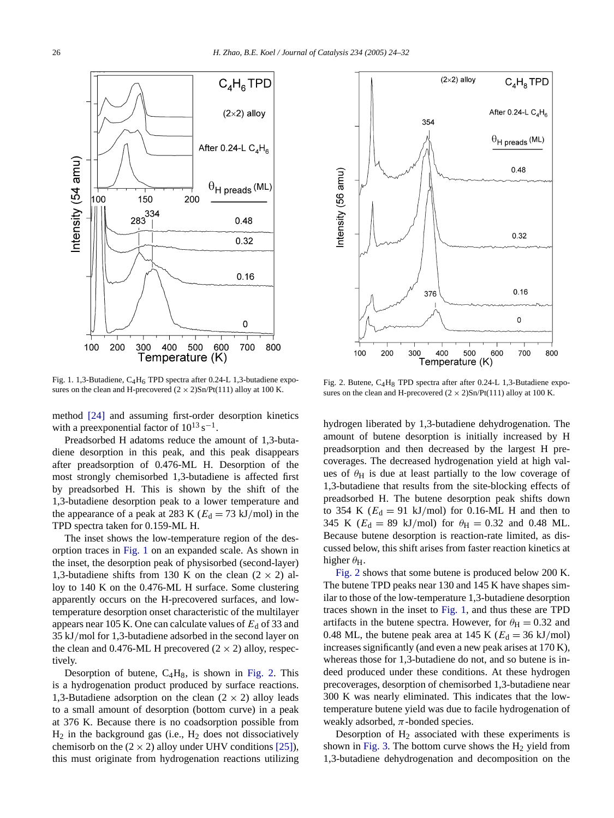<span id="page-2-0"></span>

Fig. 1. 1,3-Butadiene,  $C_4H_6$  TPD spectra after 0.24-L 1,3-butadiene exposures on t[he clea](#page-8-0)n and H-precovered  $(2 \times 2)$ Sn/Pt(111) alloy at 100 K.

method [24] and assuming first-order desorption kinetics with a preexponential factor of  $10^{13}$  s<sup>-1</sup>.

Preadsorbed H adatoms reduce the amount of 1,3-butadiene desorption in this peak, and this peak disappears after preadsorption of 0.476-ML H. Desorption of the most strongly chemisorbed 1,3-butadiene is affected first by preadsorbed H. This is shown by the shift of the 1,3-butadiene desorption peak to a lower temperature and the appearance of a peak at 283 K ( $E_d = 73$  kJ/mol) in the TPD spectra taken for 0.159-ML H.

The inset shows the low-temperature region of the desorption traces in Fig. 1 on an expanded scale. As shown in the inset, the desorption peak of physisorbed (second-layer) 1,3-butadiene shifts from 130 K on the clean  $(2 \times 2)$  alloy to 140 K on the 0.476-ML H surface. Some clustering apparently occurs on the H-precovered surfaces, and lowtemperature desorption onset characteristic of the multilayer appears near 105 K. One can calculate values of  $E_d$  of 33 and 35 kJ*/*mol for 1,3-butadiene adsorbed in the second layer on the clean and 0.476-ML H precovered  $(2 \times 2)$  alloy, respectively.

Desorption of butene,  $C_4H_8$ , is shown in Fig. 2. This is a hydrogenation product produced by surface reactions. 1,3-Butadiene adsorption on the clean  $(2 \times 2)$  alloy leads to a small amount of desorption (bottom curve) in a peak at 376 K. Because there is no coadsorption possibl[e](#page-8-0) [from](#page-8-0)  $H_2$  in the background gas (i.e.,  $H_2$  does not dissociatively chemisorb on the  $(2 \times 2)$  alloy under UHV conditions [25]), this must originate from hydrogenation reactions utilizing



Fig. 2. Butene, C4H8 TPD spectra after after 0.24-L 1,3-Butadiene exposures on the clean and H-precovered  $(2 \times 2)$ Sn/Pt(111) alloy at 100 K.

hydrogen liberated by 1,3-butadiene dehydrogenation. The amount of butene desorption is initially increased by H preadsorption and then decreased by the largest H precoverages. The decreased hydrogenation yield at high values of  $\theta$ <sub>H</sub> is due at least partially to the low coverage of 1,3-butadiene that results from the site-blocking effects of preadsorbed H. The butene desorption peak shifts down to 354 K  $(E_d = 91 \text{ kJ/mol})$  for 0.16-ML H and then to 345 K ( $E_d = 89$  kJ/mol) for  $\theta_H = 0.32$  and 0.48 ML. Because butene desorption is reaction-rate limited, as discussed below, this shift arises from faster reaction kinetics at higher  $\theta_H$ .

Fig. 2 shows that some butene is produced below 200 K. The butene TPD peaks near 130 and 145 K have shapes similar to those of the low-temperature 1,3-butadiene desorption traces shown in the inset to Fig. 1, and thus these are TPD artifacts in the butene spectra. However, for  $\theta_{\rm H} = 0.32$  and 0.48 ML, the butene peak area at 145 K ( $E_d = 36$  kJ/mol) increases significantly (and even a new peak arises at 170 K), whereas those for 1,3-butadiene do not, and so butene is indeed produced under these conditions. At these hydrogen precoverages, desorption of chemisorbed 1,3-butadiene near 300 K was nearly eliminated. This indicates that the lowtemperature butene yield was due to facile hydrogenation of weakly a[dsorbed](#page-3-0),  $\pi$ -bonded species.

Desorption of  $H_2$  associated with these experiments is shown in Fig. 3. The bottom curve shows the  $H_2$  yield from 1,3-butadiene dehydrogenation and decomposition on the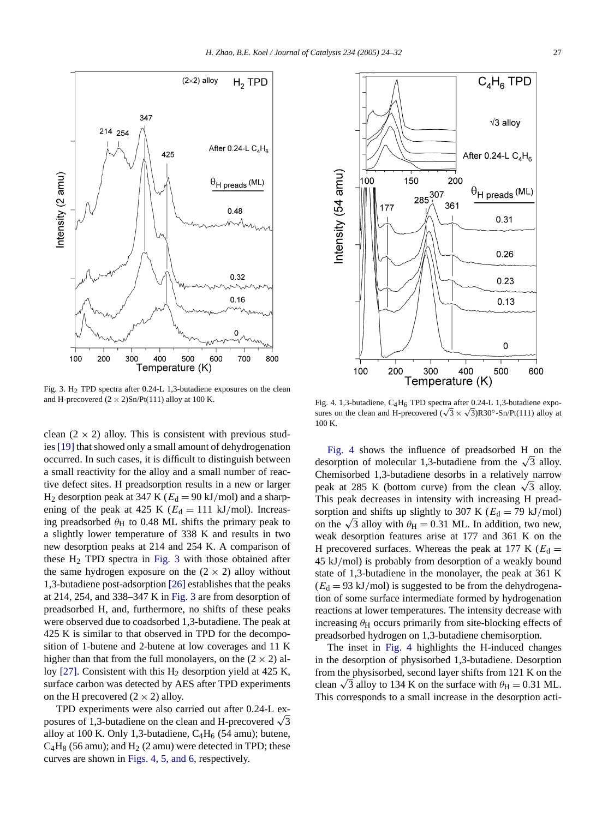<span id="page-3-0"></span>

Fig. 3. H2 TPD spectra after 0.24-L 1,3-butadiene exposures on the clean and H-precovered  $(2 \times 2)$ Sn/Pt $(111)$  alloy at 100 K.

clean  $(2 \times 2)$  alloy. This is consistent with previous studies [19] that showed only a small amount of dehydrogenation occurred. In such cases, it is difficult to distinguish between a small reactivity for the alloy and a small number of reactive defect sites. H preadsorption results in a new or larger  $H_2$  desorption peak at 347 K ( $E_d = 90$  kJ/mol) and a sharpening of the peak at 425 K ( $E_d = 111$  kJ/mol). Increasing preadsorbed θ<sub>H</sub> to 0.48 ML shifts the primary peak to a slightly lower temperature of 338 K and results in two new desorption peaks at 214 and 254 K. A comparison of these  $H_2$  TPD spectra in Fi[g.](#page-8-0) [3](#page-8-0) with those obtained after the same hydrogen exposure on the  $(2 \times 2)$  alloy without 1,3-butadiene post-adsorption [26] establishes that the peaks at 214, 254, and 338–347 K in Fig. 3 are from desorption of preadsorbed H, and, furthermore, no shifts of these peaks were observed due to coadsorbed 1,3-butadiene. The peak at 425 K is similar to that observed in TPD for the decompositi[on](#page-8-0) [of](#page-8-0) 1-butene and 2-butene at low coverages and 11 K higher than that from the full monolayers, on the  $(2 \times 2)$  alloy [27]. Consistent with this  $H_2$  desorption yield at 425 K, surface carbon was detected by AES after TPD experiments on the H precovered  $(2 \times 2)$  alloy.

TPD experiments were also carried out after 0.24-L exposures of 1,3-butadiene on the clean and H-precovered  $\sqrt{3}$ alloy at 100 K. Only 1,3-butadiene,  $C_4H_6$  (54 amu); butene,  $C_4H_8$  (56 amu); and  $H_2$  (2 amu) were detected in TPD; these curves are shown in Figs. 4, 5, and 6, respectively.



Fig. 4. 1,3-butadiene,  $C_4H_6$  TPD spectra after 0.24-L 1,3-butadiene exposures on the clean and H-precovered ( $\sqrt{3} \times \sqrt{3}$ )R30°-Sn/Pt(111) alloy at 100 K.

Fig. 4 shows the influence of preadsorbed H on the desorption of molecular 1,3-butadiene from the  $\sqrt{3}$  alloy. Chemisorbed 1,3-butadiene desorbs in a relatively narrow peak at 285 K (bottom curve) from the clean  $\sqrt{3}$  alloy. This peak decreases in intensity with increasing H preadsorption and shifts up slightly to 307 K ( $E_d = 79$  kJ/mol) on the  $\sqrt{3}$  alloy with  $\theta_H = 0.31$  ML. In addition, two new, weak desorption features arise at 177 and 361 K on the H precovered surfaces. Whereas the peak at 177 K ( $E_d$  = 45 kJ*/*mol) is probably from desorption of a weakly bound state of 1,3-butadiene in the monolayer, the peak at 361 K  $(E_d = 93 \text{ kJ/mol})$  is suggested to be from the dehydrogenation of some surface intermediate formed by hydrogenation reactions at lower temperatures. The intensity decrease with increasing  $\theta$ H occurs primarily from site-blocking effects of preadsorbed hydrogen on 1,3-butadiene chemisorption.

The inset in Fig. 4 highlights the H-induced changes in the desorption of physisorbed 1,3-butadiene. Desorption from the physisorbed, second layer shifts from 121 K on the clean  $\sqrt{3}$  alloy to 134 K on the surface with  $\theta_H = 0.31$  ML. Th[is](#page-4-0) [corre](#page-4-0)sponds to a small increase in the desorption acti-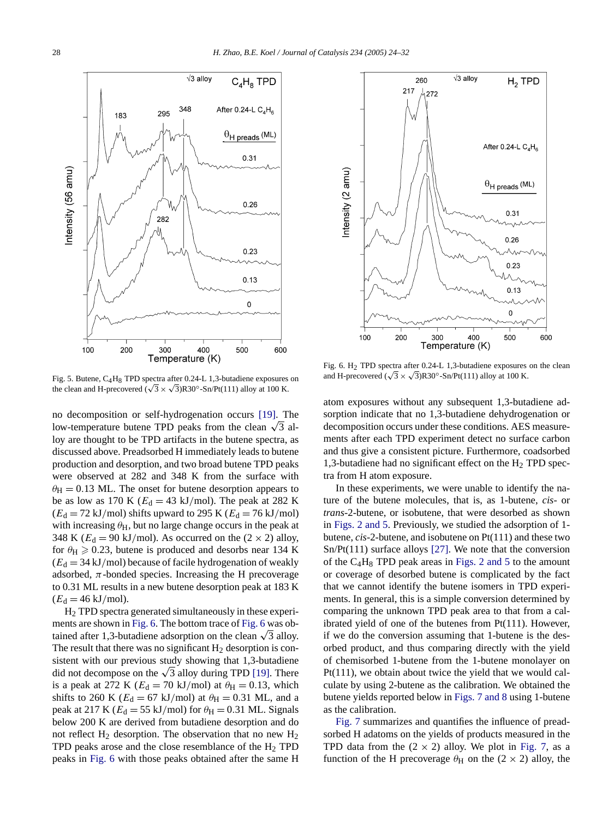100 200 300 400 500 600 Temperature (K) Fig. 5. Butene, C4H8 TPD spectra after 0.24-L 1,3-butadiene exposures on the clean and H-precovered ( $\sqrt{3} \times \sqrt{3}$ )R30°-Sn/Pt(111) alloy [at 100](#page-8-0) K.

 $\sqrt{3}$  alloy

348

 $295$ 

282

<span id="page-4-0"></span>183

 $C_4H_8$  TPD

After 0.24-L  $C_4H_6$ 

 $\theta$ H preads (ML)

 $0.31$ 

 $0.26$ 

0.23

 $0.13$ 

 $\mathbf 0$ 

no decomposition or self-hydrogenation occurs [19]. The low-temperature butene TPD peaks from the clean  $\sqrt{3}$  alloy are thought to be TPD artifacts in the butene spectra, as discussed above. Preadsorbed H immediately leads to butene production and desorption, and two broad butene TPD peaks were observed at 282 and 348 K from the surface with  $\theta_{\rm H}$  = 0.13 ML. The onset for butene desorption appears to be as low as 170 K ( $E_d = 43$  kJ/mol). The peak at 282 K  $(E<sub>d</sub> = 72 \text{ kJ/mol})$  shifts upward to 295 K  $(E<sub>d</sub> = 76 \text{ kJ/mol})$ with increasing  $\theta$ <sub>H</sub>, but no large change occurs in the peak at 348 K ( $E_d = 90$  kJ/mol). As occurred on the ( $2 \times 2$ ) alloy, for  $\theta_H \ge 0.23$ , butene is produced and desorbs near 134 K  $(E_d = 34 \text{ kJ/mol})$  because of facile hydrogenation of weakly adsorbed,  $\pi$ -bonded species. Increasing the H precoverage to 0.31 ML results in a new butene desorption peak at 183 K  $(E_d = 46 \text{ kJ/mol}).$ 

H2 TPD spectra generated simultaneously in these experiments are shown in Fig. 6. The bottom trace of Fig. 6 was obtained after 1,3-butadiene adsorption on the clean  $\sqrt{3}$  alloy. The result that there was no significant  $H_2$  desor[ption](#page-8-0) is consistent with our previous study showing that 1,3-butadiene did not decompose on the  $\sqrt{3}$  alloy during TPD [19]. There is a peak at 272 K ( $E_d = 70$  kJ/mol) at  $\theta_H = 0.13$ , which shifts to 260 K ( $E_d = 67$  kJ/mol) at  $\theta_H = 0.31$  ML, and a peak at 217 K ( $E_d = 55$  kJ/mol) for  $\theta_H = 0.31$  ML. Signals below 200 K are derived from butadiene desorption and do not reflect  $H_2$  desorption. The observation that no new  $H_2$ TPD peaks arose and the close resemblance of the  $H_2$  TPD peaks in Fig. 6 with those peaks obtained after the same H



Fig. 6. H2 TPD spectra after 0.24-L 1,3-butadiene exposures on the clean and H-precovered ( $\sqrt{3} \times \sqrt{3}$ )R30<sup>°</sup>-Sn/Pt(111) alloy at 100 K.

atom exposures without any subsequent 1,3-butadiene adsorption indicate that no 1,3-butadiene dehydrogenation or decomposition occurs under these conditions. AES measurements after each TPD experiment detect no surface carbon and thus give a consistent picture. Furthermore, coadsorbed 1,3-butadiene had no significant effect on the  $H_2$  TPD spectra from H atom exposure.

In these experiments, we were unable to identify the natu[re](#page-2-0) [of](#page-2-0) [the](#page-2-0) [bute](#page-2-0)ne molecules, that is, as 1-butene, *cis*- or *trans*-2-butene, or isobutene, that were desorbed as shown in Figs. 2 and 5. Previous[ly,](#page-8-0) [we](#page-8-0) studied the adsorption of 1 butene, *cis*-2-butene, and isobut[ene](#page-2-0) [on](#page-2-0) [Pt\(111\)](#page-2-0) and these two Sn/Pt(111) surface alloys [27]. We note that the conversion of the  $C_4H_8$  TPD peak areas in Figs. 2 and 5 to the amount or coverage of desorbed butene is complicated by the fact that we cannot identify the butene isomers in TPD experiments. In general, this is a simple conversion determined by comparing the unknown TPD peak area to that from a calibrated yield of one of the butenes from Pt(111). However, if we do the conversion assuming that 1-butene is the desorbed product, and thus comparing directly with the yield of chemisorbed 1-butene from the 1-butene monolayer on Pt(111), we obtain about twice [the](#page-5-0) [yield](#page-5-0) [that](#page-5-0) we would calculate by using 2-butene as the calibration. We obtained the bu[tene](#page-5-0) [yi](#page-5-0)elds reported below in Figs. 7 and 8 using 1-butene as the calibration.

Fig. 7 summarizes and quantifies the influe[nce](#page-5-0) [of](#page-5-0) [p](#page-5-0)readsorbed H adatoms on the yields of products measured in the TPD data from the  $(2 \times 2)$  alloy. We plot in Fig. 7, as a function of the H precoverage  $\theta$ <sub>H</sub> on the (2 × 2) alloy, the

ntensity (56 amu)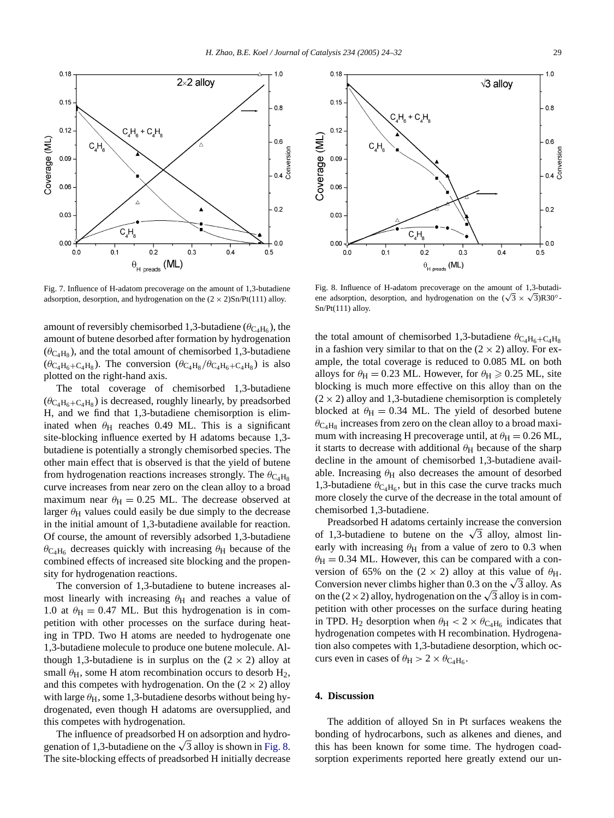<span id="page-5-0"></span>

Fig. 7. Influence of H-adatom precoverage on the amount of 1,3-butadiene adsorption, desorption, and hydrogenation on the  $(2 \times 2)$ Sn/Pt(111) alloy.

amount of reversibly chemisorbed 1,3-butadiene ( $\theta_{\text{C}_4\text{H}_6}$ ), the amount of butene desorbed after formation by hydrogenation  $(\theta_{\text{C}_4\text{H}_8})$ , and the total amount of chemisorbed 1,3-butadiene ( $\theta_{\text{C}_4\text{H}_6+\text{C}_4\text{H}_8}$ ). The conversion ( $\theta_{\text{C}_4\text{H}_8}/\theta_{\text{C}_4\text{H}_6+\text{C}_4\text{H}_8}$ ) is also plotted on the right-hand axis.

The total coverage of chemisorbed 1,3-butadiene  $(\theta_{\text{C}_4\text{H}_6+\text{C}_4\text{H}_8})$  is decreased, roughly linearly, by preadsorbed H, and we find that 1,3-butadiene chemisorption is eliminated when  $\theta$ H reaches 0.49 ML. This is a significant site-blocking influence exerted by H adatoms because 1,3 butadiene is potentially a strongly chemisorbed species. The other main effect that is observed is that the yield of butene from hydrogenation reactions increases strongly. The  $\theta_{\text{C}_4\text{H}_8}$ curve increases from near zero on the clean alloy to a broad maximum near  $\theta_H = 0.25$  ML. The decrease observed at larger  $\theta$ <sub>H</sub> values could easily be due simply to the decrease in the initial amount of 1,3-butadiene available for reaction. Of course, the amount of reversibly adsorbed 1,3-butadiene  $\theta_{\text{C}_4\text{H}_6}$  decreases quickly with increasing  $\theta_{\text{H}}$  because of the combined effects of increased site blocking and the propensity for hydrogenation reactions.

The conversion of 1,3-butadiene to butene increases almost linearly with increasing  $\theta$ H and reaches a value of 1.0 at  $\theta_H = 0.47$  ML. But this hydrogenation is in competition with other processes on the surface during heating in TPD. Two H atoms are needed to hydrogenate one 1,3-butadiene molecule to produce one butene molecule. Although 1,3-butadiene is in surplus on the  $(2 \times 2)$  alloy at small  $\theta$ <sub>H</sub>, some H atom recombination occurs to desorb  $H_2$ , and this competes with hydrogenation. On the  $(2 \times 2)$  alloy with large  $\theta_H$ , some 1,3-butadiene desorbs without being hydrogenated, even though H adatoms are oversupplied, and this competes with hydrogenation.

The influence of preadsorbed H on adsorption and hydrogenation of 1,3-butadiene on the  $\sqrt{3}$  alloy is shown in Fig. 8. The site-blocking effects of preadsorbed H initially decrease



Fig. 8. Influence of H-adatom precoverage on the amount of 1,3-butadiene adsorption, desorption, and hydrogenation on the  $(\sqrt{3} \times \sqrt{3})$ R30<sup>°</sup>-Sn/Pt(111) alloy.

the total amount of chemisorbed 1,3-butadiene  $\theta_{\text{C}_4\text{H}_6+\text{C}_4\text{H}_8}$ in a fashion very similar to that on the  $(2 \times 2)$  alloy. For example, the total coverage is reduced to 0.085 ML on both alloys for  $\theta_H = 0.23$  ML. However, for  $\theta_H \ge 0.25$  ML, site blocking is much more effective on this alloy than on the  $(2 \times 2)$  alloy and 1,3-butadiene chemisorption is completely blocked at  $\theta_H = 0.34$  ML. The yield of desorbed butene  $\theta_{\text{C}_4\text{H}_8}$  increases from zero on the clean alloy to a broad maximum with increasing H precoverage until, at  $\theta_H = 0.26$  ML, it starts to decrease with additional  $\theta$ H because of the sharp decline in the amount of chemisorbed 1,3-butadiene available. Increasing  $\theta$ <sub>H</sub> also decreases the amount of desorbed 1,3-butadiene  $\theta_{\text{C}_4\text{H}_6}$ , but in this case the curve tracks much more closely the curve of the decrease in the total amount of chemisorbed 1,3-butadiene.

Preadsorbed H adatoms certainly increase the conversion of 1,3-butadiene to butene on the  $\sqrt{3}$  alloy, almost linearly with increasing  $\theta$ H from a value of zero to 0.3 when  $\theta_H = 0.34$  ML. However, this can be compared with a conversion of 65% on the  $(2 \times 2)$  alloy at this value of  $\theta_H$ . Conversion never climbs higher than 0.3 on the  $\sqrt{3}$  alloy. As on the (2×2) alloy, hydrogenation on the  $\sqrt{3}$  alloy is in competition with other processes on the surface during heating in TPD. H<sub>2</sub> desorption when  $\theta_H < 2 \times \theta_{C_4H_6}$  indicates that hydrogenation competes with H recombination. Hydrogenation also competes with 1,3-butadiene desorption, which occurs even in cases of  $\theta_H > 2 \times \theta_{C_4H_6}$ .

# **4. Discussion**

The addition of alloyed Sn in Pt surfaces weakens the bonding of hydrocarbons, such as alkenes and dienes, and this has been known for some time. The hydrogen coadsorption experiments reported here greatly extend our un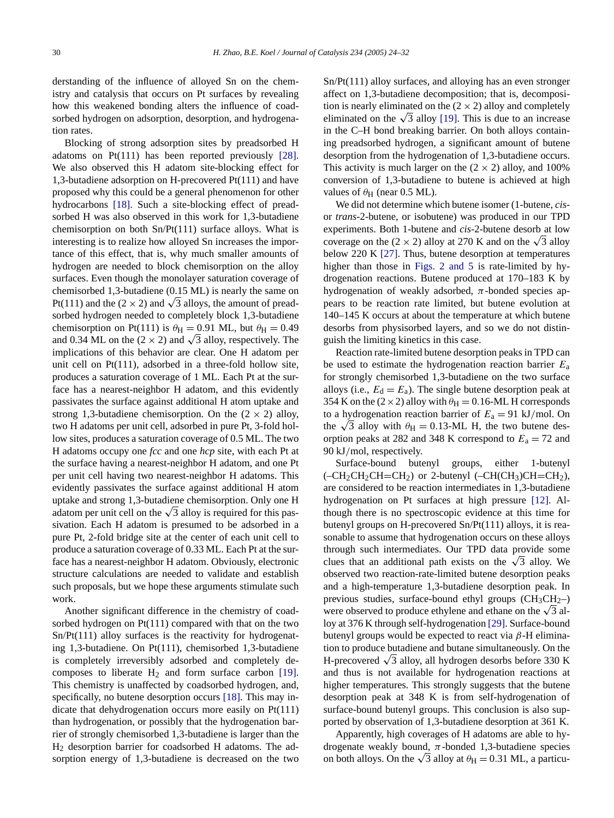derstanding of the influence of alloyed Sn on the chemistry and catalysis that occurs on Pt surfaces by revealing how this weakened bonding alters the influence of coadsorbed hydrogen on adsorption, desorption, and hydro[gena](#page-8-0)tion rates.

Blocking of strong adsorption sites by preadsorbed H adatoms on Pt(111) has been reported previously [28]. We also observed this H adatom site-blocking effect for 1,3-butadiene [adsor](#page-8-0)ption on H-precovered Pt(111) and have proposed why this could be a general phenomenon for other hydrocarbons [18]. Such a site-blocking effect of preadsorbed H was also observed in this work for 1,3-butadiene chemisorption on both Sn/Pt(111) surface alloys. What is interesting is to realize how alloyed Sn increases the importance of this effect, that is, why much smaller amounts of hydrogen are needed to block chemisorption on the alloy surfaces. Even though the monolayer saturation coverage of chemisorbed 1,3-butadiene (0.15 ML) is nearly the same on Pt(111) and the (2  $\times$  2) and  $\sqrt{3}$  alloys, the amount of preadsorbed hydrogen needed to completely block 1,3-butadiene chemisorption on Pt(111) is  $\theta_H = 0.91$  ML, but  $\theta_H = 0.49$ and 0.34 ML on the (2  $\times$  2) and  $\sqrt{3}$  alloy, respectively. The implications of this behavior are clear. One H adatom per unit cell on Pt(111), adsorbed in a three-fold hollow site, produces a saturation coverage of 1 ML. Each Pt at the surface has a nearest-neighbor H adatom, and this evidently passivates the surface against additional H atom uptake and strong 1,3-butadiene chemisorption. On the  $(2 \times 2)$  alloy, two H adatoms per unit cell, adsorbed in pure Pt, 3-fold hollow sites, produces a saturation coverage of 0.5 ML. The two H adatoms occupy one *fcc* and one *hcp* site, with each Pt at the surface having a nearest-neighbor H adatom, and one Pt per unit cell having two nearest-neighbor H adatoms. This evidently passivates the surface against additional H atom uptake and strong 1,3-butadiene chemisorption. Only one H adatom per unit cell on the  $\sqrt{3}$  alloy is required for this passivation. Each H adatom is presumed to be adsorbed in a pure Pt, 2-fold bridge site at the center of each unit cell to produce a saturation coverage of 0.33 ML. Each Pt at the surface has a nearest-neighbor H adatom. Obviously, electronic structure calculations are needed to validate and establish such proposals, but we hope these arguments stimulate such work.

Another significant difference in the chemistry of coadsorbed hydrogen on Pt(111) compared with that on the two Sn/Pt(111) alloy surfaces is the reactivity for hydrogenating 1,3-butadiene. On Pt(111), chemisorbed 1,3-buta[diene](#page-8-0) is completely irreversibly adsorbed and completely decomposes to liberate  $H_2$  and form su[rface](#page-8-0) carbon [19]. This chemistry is unaffected by coadsorbed hydrogen, and, specifically, no butene desorption occurs [18]. This may indicate that dehydrogenation occurs more easily on Pt(111) than hydrogenation, or possibly that the hydrogenation barrier of strongly chemisorbed 1,3-butadiene is larger than the H2 desorption barrier for coadsorbed H adatoms. The adsorption energy of 1,3-butadiene is decreased on the two Sn/Pt(111) alloy surfaces, and alloying has an even stronger affect on 1,3-butadiene dec[ompo](#page-8-0)sition; that is, decomposition is nearly eliminated on the  $(2 \times 2)$  alloy and completely eliminated on the  $\sqrt{3}$  alloy [19]. This is due to an increase in the C–H bond breaking barrier. On both alloys containing preadsorbed hydrogen, a significant amount of butene desorption from the hydrogenation of 1,3-butadiene occurs. This activity is much larger on the  $(2 \times 2)$  alloy, and 100% conversion of 1,3-butadiene to butene is achieved at high values of  $\theta$ <sub>H</sub> (near 0.5 ML).

We did not determine which butene isomer (1-butene, *cis*or *trans*-2-butene, or isobutene) was produced in our TPD experiments. [Both](#page-8-0) 1-butene and *cis*-2-butene desorb at low coverage on the (2 × [2\)](#page-2-0) [alloy](#page-2-0) [at](#page-2-0) [270](#page-2-0) K and on the  $\sqrt{3}$  alloy below 220 K [27]. Thus, butene desorption at temperatures higher than those in Figs. 2 and 5 is rate-limited by hydrogenation reactions. Butene produced at 170–183 K by hydrogenation of weakly adsorbed, *π*-bonded species appears to be reaction rate limited, but butene evolution at 140–145 K occurs at about the temperature at which butene desorbs from physisorbed layers, and so we do not distinguish the limiting kinetics in this case.

Reaction rate-limited butene desorption peaks in TPD can be used to estimate the hydrogenation reaction barrier *E*<sup>a</sup> for strongly chemisorbed 1,3-butadiene on the two surface alloys (i.e.,  $E_d = E_a$ ). The single butene desorption peak at 354 K on the ( $2 \times 2$ ) alloy with  $\theta_H = 0.16$ -ML H corresponds to a hydrogenation reaction barrier of  $E_a = 91 \text{ kJ/mol}$ . On the  $\sqrt{3}$  alloy with  $\theta_H = 0.13$ -ML H, the two butene desorption peaks at 282 and 348 K correspond to  $E_a = 72$  and 90 kJ*/*mol, respectively.

Surface-bound butenyl groups, either [1-bu](#page-8-0)tenyl  $(-CH_2CH_2CH=CH_2)$  or 2-butenyl  $(-CH(CH_3)CH=CH_2)$ , are considered to be reaction intermediates in 1,3-butadiene hydrogenation on Pt surfaces at high pressure [12]. Although there is no spectroscopic evidence at this time for butenyl groups on H-precovered Sn/Pt(111) alloys, it is reasonable to assume that hydrogenation occurs on these alloys through such intermediates. Our TPD data provide some clues that an additional path exists on the  $\sqrt{3}$  alloy. We observed two reaction-rate-limited butene desorption peaks and a high-temperature 1,3-butadiene desorption peak. In previous studies, surface-bound ethyl [grou](#page-8-0)ps  $(CH_3CH_2-)$ were observed to produce ethylene and ethane on the  $\sqrt{3}$  alloy at 376 K through self-hydrogenation [29]. Surface-bound butenyl groups would be expected to react via *β*-H elimination to produce butadiene and butane simultaneously. On the H-precovered  $\sqrt{3}$  alloy, all hydrogen desorbs before 330 K and thus is not available for hydrogenation reactions at higher temperatures. This strongly suggests that the butene desorption peak at 348 K is from self-hydrogenation of surface-bound butenyl groups. This conclusion is also supported by observation of 1,3-butadiene desorption at 361 K.

Apparently, high coverages of H adatoms are able to hydrogenate weakly bound,  $\pi$ -bonded 1,3-butadiene species on both alloys. On the  $\sqrt{3}$  alloy at  $\theta_H = 0.31$  ML, a particu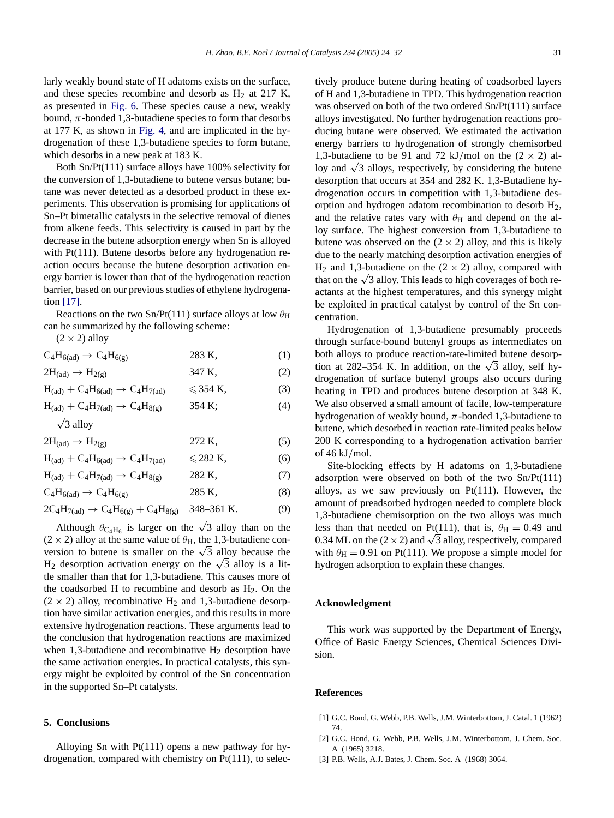<span id="page-7-0"></span>larly weakly bo[und](#page-4-0) [stat](#page-4-0)e of H adatoms exists on the surface, and these species recombine and desorb as  $H<sub>2</sub>$  at 217 K, as presented in Fig. 6[.](#page-3-0) [These](#page-3-0) species cause a new, weakly bound,  $\pi$ -bonded 1,3-butadiene species to form that desorbs at 177 K, as shown in Fig. 4, and are implicated in the hydrogenation of these 1,3-butadiene species to form butane, which desorbs in a new peak at 183 K.

Both Sn/Pt(111) surface alloys have 100% selectivity for the conversion of 1,3-butadiene to butene versus butane; butane was never detected as a desorbed product in these experiments. This observation is promising for applications of Sn–Pt bimetallic catalysts in the selective removal of dienes from alkene feeds. This selectivity is caused in part by the decrease in the butene adsorption energy when Sn is alloyed with Pt(111). Butene desorbs before any hydrogenation reaction occurs because the butene desorption activation energ[y](#page-8-0) [barr](#page-8-0)ier is lower than that of the hydrogenation reaction barrier, based on our previous studies of ethylene hydrogenation [17].

Reactions on the two Sn/Pt(111) surface alloys at low  $\theta_H$ can be summarized by the following scheme:

 $(2 \times 2)$  alloy

 $C_4H_{6(ad)} \to C_4H_{6(g)}$  283 K, (1)

$$
2H_{\text{(ad)}} \to H_{2(g)} \tag{2}
$$

$$
H_{\text{(ad)}} + C_4 H_{\text{6(ad)}} \rightarrow C_4 H_{\text{7(ad)}} \qquad \leqslant 354 \text{ K}, \tag{3}
$$

 $H_{(ad)} + C_4 H_{7(ad)} \rightarrow C_4 H_{8(g)}$  354 K; (4)

$$
\sqrt{3}
$$
 alloy

 $2H_{(ad)} \to H_{2(g)}$  272 K, (5)  $H = + C H$  + C4H

$$
H_{\text{(ad)}} + C_4 H_{\text{6(ad)}} \rightarrow C_4 H_{\text{7(ad)}} \quad \leq 282 \text{ K}, \tag{6}
$$
\n
$$
H_{\text{(ad)}} + C_4 H_{\text{7(ad)}} \rightarrow C_4 H_{\text{8(c)}} \quad 282 \text{ K}, \tag{7}
$$

$$
C_4H_{6(ad)} + C_4H_{6(ad)}
$$
 285 K, (8)

$$
2C_4H_{7(ad)} \rightarrow C_4H_{6(g)} + C_4H_{8(g)} \quad 348-361 \text{ K.}
$$
 (9)

Although  $\theta_{\text{C}_4\text{H}_6}$  is larger on the  $\sqrt{3}$  alloy than on the  $(2 \times 2)$  alloy at the same value of  $\theta_H$ , the 1,3-butadiene conversion to butene is smaller on the  $\sqrt{3}$  alloy because the H<sub>2</sub> desorption activation energy on the  $\sqrt{3}$  alloy is a little smaller than that for 1,3-butadiene. This causes more of the coadsorbed H to recombine and desorb as  $H<sub>2</sub>$ . On the  $(2 \times 2)$  alloy, recombinative H<sub>2</sub> and 1,3-butadiene desorption have similar activation energies, and this results in more extensive hydrogenation reactions. These arguments lead to the conclusion that hydrogenation reactions are maximized when 1,3-butadiene and recombinative  $H_2$  desorption have the same activation energies. In practical catalysts, this synergy might be exploited by control of the Sn concentration in the supported Sn–Pt catalysts.

### **5. Conclusions**

Alloying Sn with Pt(111) opens a new pathway for hydrogenation, compared with chemistry on Pt(111), to selectively produce butene during heating of coadsorbed layers of H and 1,3-butadiene in TPD. This hydrogenation reaction was observed on both of the two ordered Sn/Pt(111) surface alloys investigated. No further hydrogenation reactions producing butane were observed. We estimated the activation energy barriers to hydrogenation of strongly chemisorbed 1,3-butadiene to be 91 and 72 kJ/mol on the  $(2 \times 2)$  alloy and  $\sqrt{3}$  alloys, respectively, by considering the butene desorption that occurs at 354 and 282 K. 1,3-Butadiene hydrogenation occurs in competition with 1,3-butadiene desorption and hydrogen adatom recombination to desorb H2, and the relative rates vary with  $\theta$ <sub>H</sub> and depend on the alloy surface. The highest conversion from 1,3-butadiene to butene was observed on the  $(2 \times 2)$  alloy, and this is likely due to the nearly matching desorption activation energies of  $H_2$  and 1,3-butadiene on the  $(2 \times 2)$  alloy, compared with that on the  $\sqrt{3}$  alloy. This leads to high coverages of both reactants at the highest temperatures, and this synergy might be exploited in practical catalyst by control of the Sn concentration.

Hydrogenation of 1,3-butadiene presumably proceeds through surface-bound butenyl groups as intermediates on both alloys to produce reaction-rate-limited butene desorption at 282–354 K. In addition, on the  $\sqrt{3}$  alloy, self hydrogenation of surface butenyl groups also occurs during heating in TPD and produces butene desorption at 348 K. We also observed a small amount of facile, low-temperature hydrogenation of weakly bound, *π*-bonded 1,3-butadiene to butene, which desorbed in reaction rate-limited peaks below 200 K corresponding to a hydrogenation activation barrier of 46 kJ*/*mol.

Site-blocking effects by H adatoms on 1,3-butadiene adsorption were observed on both of the two Sn/Pt(111) alloys, as we saw previously on Pt(111). However, the amount of preadsorbed hydrogen needed to complete block 1,3-butadiene chemisorption on the two alloys was much less than that needed on Pt(111), that is,  $\theta_H = 0.49$  and 0.34 ML on the (2  $\times$  2) and  $\sqrt{3}$  alloy, respectively, compared with  $\theta_H = 0.91$  on Pt(111). We propose a simple model for hydrogen adsorption to explain these changes.

# **Acknowledgment**

This work was supported by the Department of Energy, Office of Basic Energy Sciences, Chemical Sciences Division.

#### **References**

- [1] G.C. Bond, G. Webb, P.B. Wells, J.M. Winterbottom, J. Catal. 1 (1962) 74.
- [2] G.C. Bond, G. Webb, P.B. Wells, J.M. Winterbottom, J. Chem. Soc. A (1965) 3218.
- [3] P.B. Wells, A.J. Bates, J. Chem. Soc. A (1968) 3064.